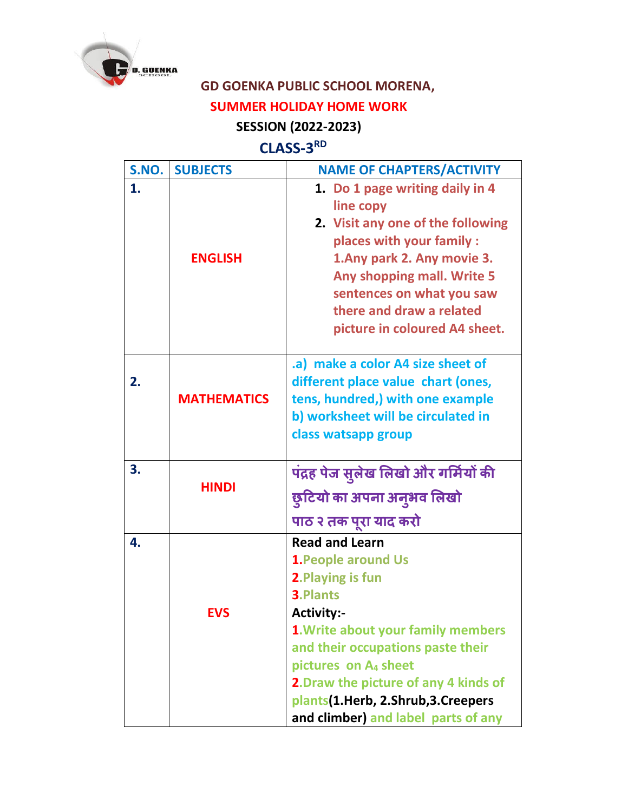

## **GD GOENKA PUBLIC SCHOOL MORENA, SUMMER HOLIDAY HOME WORK**

## **SESSION (2022-2023)**

## **CLASS-3 RD**

| S.NO. | <b>SUBJECTS</b>    | <b>NAME OF CHAPTERS/ACTIVITY</b>                                                                                                                                                                                                                                                                                                         |
|-------|--------------------|------------------------------------------------------------------------------------------------------------------------------------------------------------------------------------------------------------------------------------------------------------------------------------------------------------------------------------------|
| 1.    | <b>ENGLISH</b>     | 1. Do 1 page writing daily in 4<br>line copy<br>2. Visit any one of the following<br>places with your family :<br>1. Any park 2. Any movie 3.<br>Any shopping mall. Write 5<br>sentences on what you saw<br>there and draw a related<br>picture in coloured A4 sheet.                                                                    |
| 2.    | <b>MATHEMATICS</b> | .a) make a color A4 size sheet of<br>different place value chart (ones,<br>tens, hundred,) with one example<br>b) worksheet will be circulated in<br>class watsapp group                                                                                                                                                                 |
| 3.    | <b>HINDI</b>       | पंद्रह पेज सुलेख लिखो और गर्मियों की<br>छुटियो का अपना अनुभव लिखो<br>पाठ २ तक पूरा याद करो                                                                                                                                                                                                                                               |
| 4.    | <b>EVS</b>         | <b>Read and Learn</b><br><b>1. People around Us</b><br>2. Playing is fun<br>3. Plants<br>Activity:-<br>1. Write about your family members<br>and their occupations paste their<br>pictures on A <sub>4</sub> sheet<br>2. Draw the picture of any 4 kinds of<br>plants(1.Herb, 2.Shrub, 3.Creepers<br>and climber) and label parts of any |